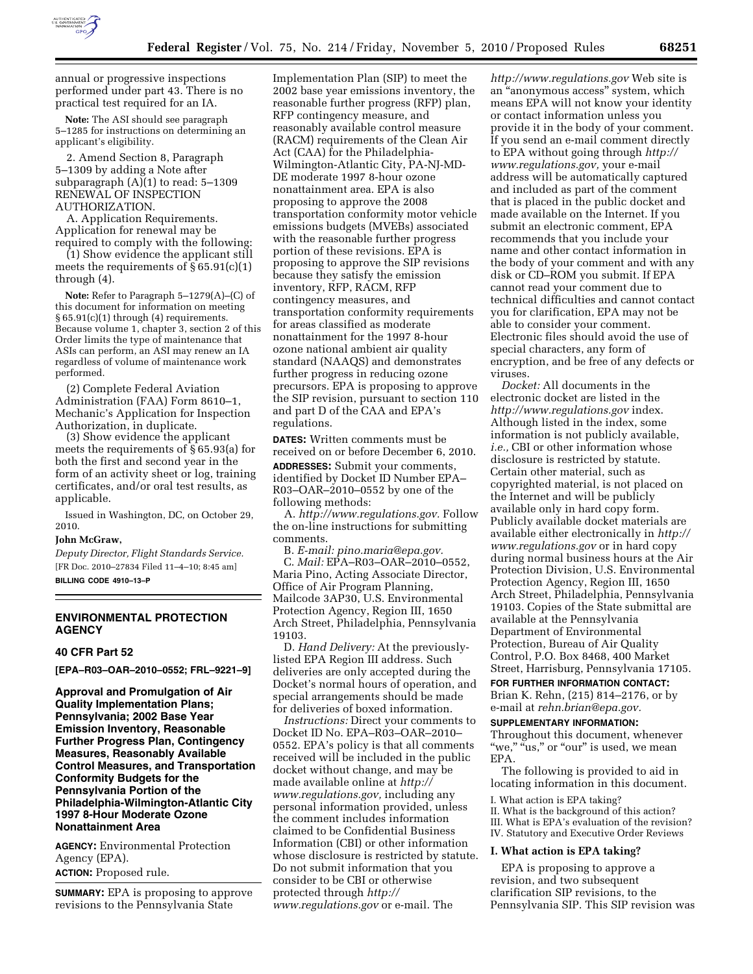

annual or progressive inspections performed under part 43. There is no practical test required for an IA.

**Note:** The ASI should see paragraph 5–1285 for instructions on determining an applicant's eligibility.

2. Amend Section 8, Paragraph 5–1309 by adding a Note after subparagraph (A)(1) to read: 5–1309 RENEWAL OF INSPECTION AUTHORIZATION.

A. Application Requirements. Application for renewal may be required to comply with the following:

(1) Show evidence the applicant still meets the requirements of  $\S 65.91(c)(1)$ through (4).

**Note:** Refer to Paragraph 5–1279(A)–(C) of this document for information on meeting § 65.91(c)(1) through (4) requirements. Because volume 1, chapter 3, section 2 of this Order limits the type of maintenance that ASIs can perform, an ASI may renew an IA regardless of volume of maintenance work performed.

(2) Complete Federal Aviation Administration (FAA) Form 8610–1, Mechanic's Application for Inspection Authorization, in duplicate.

(3) Show evidence the applicant meets the requirements of § 65.93(a) for both the first and second year in the form of an activity sheet or log, training certificates, and/or oral test results, as applicable.

Issued in Washington, DC, on October 29, 2010.

## **John McGraw,**

*Deputy Director, Flight Standards Service.*  [FR Doc. 2010–27834 Filed 11–4–10; 8:45 am] **BILLING CODE 4910–13–P** 

## **ENVIRONMENTAL PROTECTION AGENCY**

#### **40 CFR Part 52**

**[EPA–R03–OAR–2010–0552; FRL–9221–9]** 

**Approval and Promulgation of Air Quality Implementation Plans; Pennsylvania; 2002 Base Year Emission Inventory, Reasonable Further Progress Plan, Contingency Measures, Reasonably Available Control Measures, and Transportation Conformity Budgets for the Pennsylvania Portion of the Philadelphia-Wilmington-Atlantic City 1997 8-Hour Moderate Ozone Nonattainment Area** 

**AGENCY:** Environmental Protection Agency (EPA). **ACTION:** Proposed rule.

**SUMMARY:** EPA is proposing to approve revisions to the Pennsylvania State

Implementation Plan (SIP) to meet the 2002 base year emissions inventory, the reasonable further progress (RFP) plan, RFP contingency measure, and reasonably available control measure (RACM) requirements of the Clean Air Act (CAA) for the Philadelphia-Wilmington-Atlantic City, PA-NJ-MD-DE moderate 1997 8-hour ozone nonattainment area. EPA is also proposing to approve the 2008 transportation conformity motor vehicle emissions budgets (MVEBs) associated with the reasonable further progress portion of these revisions. EPA is proposing to approve the SIP revisions because they satisfy the emission inventory, RFP, RACM, RFP contingency measures, and transportation conformity requirements for areas classified as moderate nonattainment for the 1997 8-hour ozone national ambient air quality standard (NAAQS) and demonstrates further progress in reducing ozone precursors. EPA is proposing to approve the SIP revision, pursuant to section 110 and part D of the CAA and EPA's regulations.

**DATES:** Written comments must be received on or before December 6, 2010. **ADDRESSES:** Submit your comments, identified by Docket ID Number EPA– R03–OAR–2010–0552 by one of the following methods:

A. *[http://www.regulations.gov.](http://www.regulations.gov)* Follow the on-line instructions for submitting comments.

B. *E-mail: [pino.maria@epa.gov.](mailto:pino.maria@epa.gov)*  C. *Mail:* EPA–R03–OAR–2010–0552, Maria Pino, Acting Associate Director, Office of Air Program Planning, Mailcode 3AP30, U.S. Environmental Protection Agency, Region III, 1650 Arch Street, Philadelphia, Pennsylvania 19103.

D. *Hand Delivery:* At the previouslylisted EPA Region III address. Such deliveries are only accepted during the Docket's normal hours of operation, and special arrangements should be made for deliveries of boxed information.

*Instructions:* Direct your comments to Docket ID No. EPA–R03–OAR–2010– 0552. EPA's policy is that all comments received will be included in the public docket without change, and may be made available online at *[http://](http://www.regulations.gov)  [www.regulations.gov,](http://www.regulations.gov)* including any personal information provided, unless the comment includes information claimed to be Confidential Business Information (CBI) or other information whose disclosure is restricted by statute. Do not submit information that you consider to be CBI or otherwise protected through *[http://](http://www.regulations.gov)  [www.regulations.gov](http://www.regulations.gov)* or e-mail. The

*<http://www.regulations.gov>* Web site is an ''anonymous access'' system, which means EPA will not know your identity or contact information unless you provide it in the body of your comment. If you send an e-mail comment directly to EPA without going through *[http://](http://www.regulations.gov) [www.regulations.gov,](http://www.regulations.gov)* your e-mail address will be automatically captured and included as part of the comment that is placed in the public docket and made available on the Internet. If you submit an electronic comment, EPA recommends that you include your name and other contact information in the body of your comment and with any disk or CD–ROM you submit. If EPA cannot read your comment due to technical difficulties and cannot contact you for clarification, EPA may not be able to consider your comment. Electronic files should avoid the use of special characters, any form of encryption, and be free of any defects or viruses.

*Docket:* All documents in the electronic docket are listed in the *<http://www.regulations.gov>* index. Although listed in the index, some information is not publicly available, *i.e.,* CBI or other information whose disclosure is restricted by statute. Certain other material, such as copyrighted material, is not placed on the Internet and will be publicly available only in hard copy form. Publicly available docket materials are available either electronically in *[http://](http://www.regulations.gov) [www.regulations.gov](http://www.regulations.gov)* or in hard copy during normal business hours at the Air Protection Division, U.S. Environmental Protection Agency, Region III, 1650 Arch Street, Philadelphia, Pennsylvania 19103. Copies of the State submittal are available at the Pennsylvania Department of Environmental Protection, Bureau of Air Quality Control, P.O. Box 8468, 400 Market Street, Harrisburg, Pennsylvania 17105.

#### **FOR FURTHER INFORMATION CONTACT:**

Brian K. Rehn, (215) 814–2176, or by e-mail at *[rehn.brian@epa.gov.](mailto:rehn.brian@epa.gov)* 

#### **SUPPLEMENTARY INFORMATION:**

Throughout this document, whenever "we," "us," or "our" is used, we mean EPA.

The following is provided to aid in locating information in this document.

I. What action is EPA taking? II. What is the background of this action? III. What is EPA's evaluation of the revision? IV. Statutory and Executive Order Reviews

## **I. What action is EPA taking?**

EPA is proposing to approve a revision, and two subsequent clarification SIP revisions, to the Pennsylvania SIP. This SIP revision was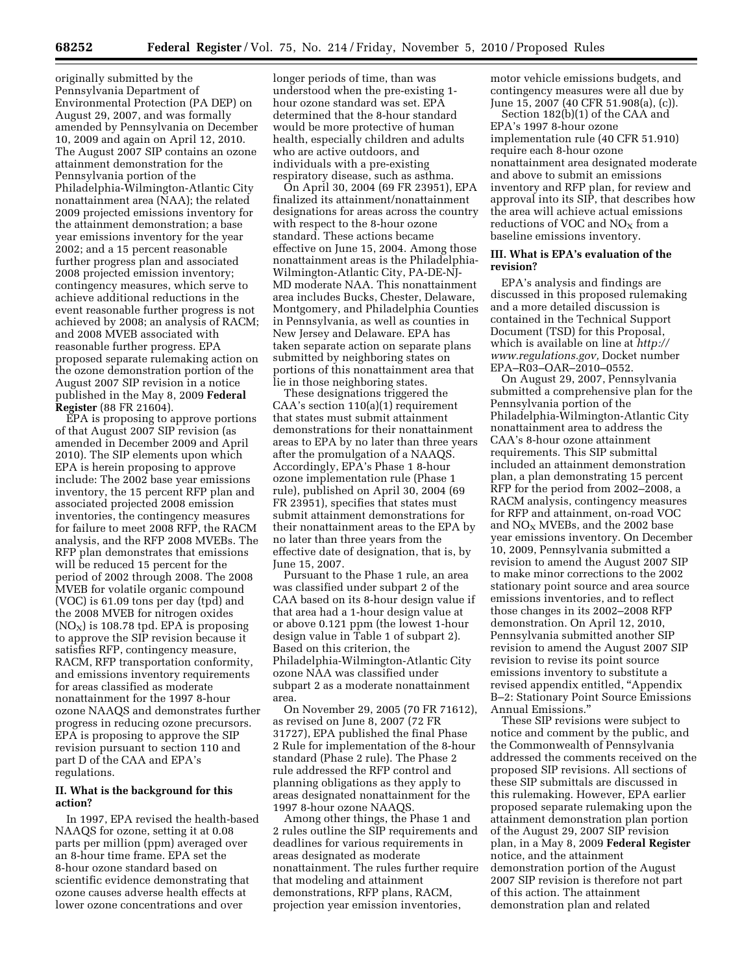originally submitted by the Pennsylvania Department of Environmental Protection (PA DEP) on August 29, 2007, and was formally amended by Pennsylvania on December 10, 2009 and again on April 12, 2010. The August 2007 SIP contains an ozone attainment demonstration for the Pennsylvania portion of the Philadelphia-Wilmington-Atlantic City nonattainment area (NAA); the related 2009 projected emissions inventory for the attainment demonstration; a base year emissions inventory for the year 2002; and a 15 percent reasonable further progress plan and associated 2008 projected emission inventory; contingency measures, which serve to achieve additional reductions in the event reasonable further progress is not achieved by 2008; an analysis of RACM; and 2008 MVEB associated with reasonable further progress. EPA proposed separate rulemaking action on the ozone demonstration portion of the August 2007 SIP revision in a notice published in the May 8, 2009 **Federal Register** (88 FR 21604).

EPA is proposing to approve portions of that August 2007 SIP revision (as amended in December 2009 and April 2010). The SIP elements upon which EPA is herein proposing to approve include: The 2002 base year emissions inventory, the 15 percent RFP plan and associated projected 2008 emission inventories, the contingency measures for failure to meet 2008 RFP, the RACM analysis, and the RFP 2008 MVEBs. The RFP plan demonstrates that emissions will be reduced 15 percent for the period of 2002 through 2008. The 2008 MVEB for volatile organic compound (VOC) is 61.09 tons per day (tpd) and the 2008 MVEB for nitrogen oxides  $NO<sub>X</sub>$ ) is 108.78 tpd. EPA is proposing to approve the SIP revision because it satisfies RFP, contingency measure, RACM, RFP transportation conformity, and emissions inventory requirements for areas classified as moderate nonattainment for the 1997 8-hour ozone NAAQS and demonstrates further progress in reducing ozone precursors. EPA is proposing to approve the SIP revision pursuant to section 110 and part D of the CAA and EPA's regulations.

### **II. What is the background for this action?**

In 1997, EPA revised the health-based NAAQS for ozone, setting it at 0.08 parts per million (ppm) averaged over an 8-hour time frame. EPA set the 8-hour ozone standard based on scientific evidence demonstrating that ozone causes adverse health effects at lower ozone concentrations and over

longer periods of time, than was understood when the pre-existing 1 hour ozone standard was set. EPA determined that the 8-hour standard would be more protective of human health, especially children and adults who are active outdoors, and individuals with a pre-existing respiratory disease, such as asthma.

On April 30, 2004 (69 FR 23951), EPA finalized its attainment/nonattainment designations for areas across the country with respect to the 8-hour ozone standard. These actions became effective on June 15, 2004. Among those nonattainment areas is the Philadelphia-Wilmington-Atlantic City, PA-DE-NJ-MD moderate NAA. This nonattainment area includes Bucks, Chester, Delaware, Montgomery, and Philadelphia Counties in Pennsylvania, as well as counties in New Jersey and Delaware. EPA has taken separate action on separate plans submitted by neighboring states on portions of this nonattainment area that lie in those neighboring states.

These designations triggered the CAA's section 110(a)(1) requirement that states must submit attainment demonstrations for their nonattainment areas to EPA by no later than three years after the promulgation of a NAAQS. Accordingly, EPA's Phase 1 8-hour ozone implementation rule (Phase 1 rule), published on April 30, 2004 (69 FR 23951), specifies that states must submit attainment demonstrations for their nonattainment areas to the EPA by no later than three years from the effective date of designation, that is, by June 15, 2007.

Pursuant to the Phase 1 rule, an area was classified under subpart 2 of the CAA based on its 8-hour design value if that area had a 1-hour design value at or above 0.121 ppm (the lowest 1-hour design value in Table 1 of subpart 2). Based on this criterion, the Philadelphia-Wilmington-Atlantic City ozone NAA was classified under subpart 2 as a moderate nonattainment area.

On November 29, 2005 (70 FR 71612), as revised on June 8, 2007 (72 FR 31727), EPA published the final Phase 2 Rule for implementation of the 8-hour standard (Phase 2 rule). The Phase 2 rule addressed the RFP control and planning obligations as they apply to areas designated nonattainment for the 1997 8-hour ozone NAAQS.

Among other things, the Phase 1 and 2 rules outline the SIP requirements and deadlines for various requirements in areas designated as moderate nonattainment. The rules further require that modeling and attainment demonstrations, RFP plans, RACM, projection year emission inventories,

motor vehicle emissions budgets, and contingency measures were all due by June 15, 2007 (40 CFR 51.908(a), (c)).

Section 182(b)(1) of the CAA and EPA's 1997 8-hour ozone implementation rule (40 CFR 51.910) require each 8-hour ozone nonattainment area designated moderate and above to submit an emissions inventory and RFP plan, for review and approval into its SIP, that describes how the area will achieve actual emissions reductions of VOC and  $NO<sub>X</sub>$  from a baseline emissions inventory.

## **III. What is EPA's evaluation of the revision?**

EPA's analysis and findings are discussed in this proposed rulemaking and a more detailed discussion is contained in the Technical Support Document (TSD) for this Proposal, which is available on line at *[http://](http://www.regulations.gov) [www.regulations.gov,](http://www.regulations.gov)* Docket number EPA–R03–OAR–2010–0552.

On August 29, 2007, Pennsylvania submitted a comprehensive plan for the Pennsylvania portion of the Philadelphia-Wilmington-Atlantic City nonattainment area to address the CAA's 8-hour ozone attainment requirements. This SIP submittal included an attainment demonstration plan, a plan demonstrating 15 percent RFP for the period from 2002–2008, a RACM analysis, contingency measures for RFP and attainment, on-road VOC and  $NO<sub>X</sub>$  MVEBs, and the 2002 base year emissions inventory. On December 10, 2009, Pennsylvania submitted a revision to amend the August 2007 SIP to make minor corrections to the 2002 stationary point source and area source emissions inventories, and to reflect those changes in its 2002–2008 RFP demonstration. On April 12, 2010, Pennsylvania submitted another SIP revision to amend the August 2007 SIP revision to revise its point source emissions inventory to substitute a revised appendix entitled, ''Appendix B–2: Stationary Point Source Emissions Annual Emissions.''

These SIP revisions were subject to notice and comment by the public, and the Commonwealth of Pennsylvania addressed the comments received on the proposed SIP revisions. All sections of these SIP submittals are discussed in this rulemaking. However, EPA earlier proposed separate rulemaking upon the attainment demonstration plan portion of the August 29, 2007 SIP revision plan, in a May 8, 2009 **Federal Register**  notice, and the attainment demonstration portion of the August 2007 SIP revision is therefore not part of this action. The attainment demonstration plan and related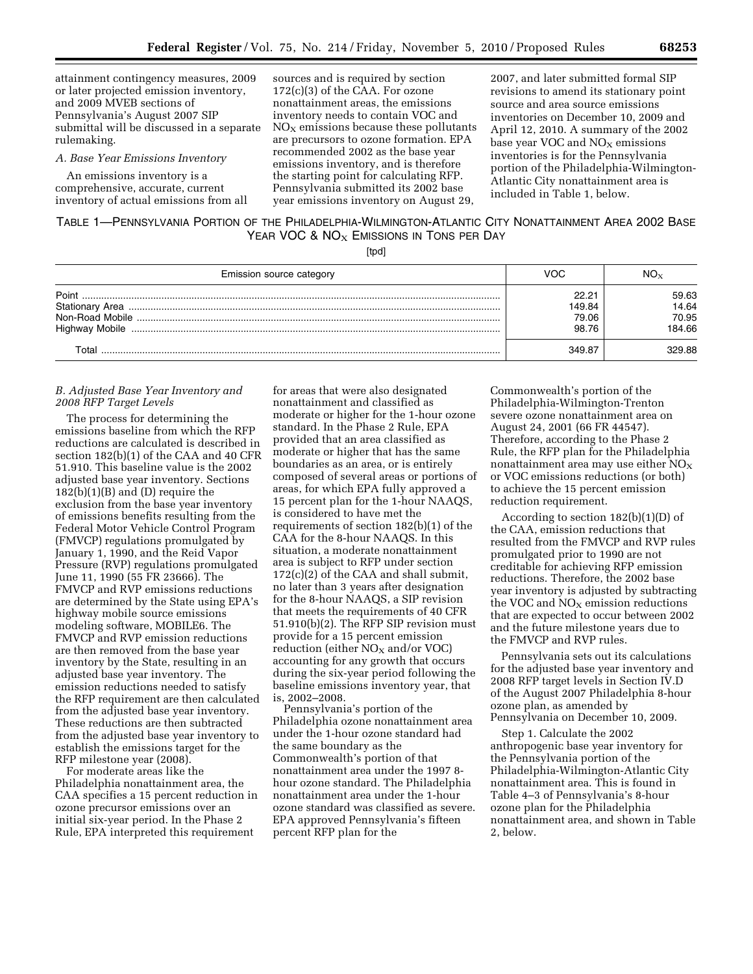attainment contingency measures, 2009 or later projected emission inventory, and 2009 MVEB sections of Pennsylvania's August 2007 SIP submittal will be discussed in a separate rulemaking.

#### *A. Base Year Emissions Inventory*

An emissions inventory is a comprehensive, accurate, current inventory of actual emissions from all

sources and is required by section 172(c)(3) of the CAA. For ozone nonattainment areas, the emissions inventory needs to contain VOC and  $NO<sub>x</sub>$  emissions because these pollutants are precursors to ozone formation. EPA recommended 2002 as the base year emissions inventory, and is therefore the starting point for calculating RFP. Pennsylvania submitted its 2002 base year emissions inventory on August 29,

2007, and later submitted formal SIP revisions to amend its stationary point source and area source emissions inventories on December 10, 2009 and April 12, 2010. A summary of the 2002 base year VOC and  $NO<sub>x</sub>$  emissions inventories is for the Pennsylvania portion of the Philadelphia-Wilmington-Atlantic City nonattainment area is included in Table 1, below.

## TABLE 1—PENNSYLVANIA PORTION OF THE PHILADELPHIA-WILMINGTON-ATLANTIC CITY NONATTAINMENT AREA 2002 BASE YEAR VOC &  $NO<sub>X</sub>$  Emissions in Tons per Day

[tpd]

| Emission source category | VOC                               |                                   |
|--------------------------|-----------------------------------|-----------------------------------|
| Point                    | 22.21<br>149.84<br>79.06<br>98.76 | 59.63<br>14.64<br>70.95<br>184.66 |
|                          | 349.87                            | 329 88.                           |

## *B. Adjusted Base Year Inventory and 2008 RFP Target Levels*

The process for determining the emissions baseline from which the RFP reductions are calculated is described in section 182(b)(1) of the CAA and 40 CFR 51.910. This baseline value is the 2002 adjusted base year inventory. Sections  $182(b)(1)(B)$  and  $(D)$  require the exclusion from the base year inventory of emissions benefits resulting from the Federal Motor Vehicle Control Program (FMVCP) regulations promulgated by January 1, 1990, and the Reid Vapor Pressure (RVP) regulations promulgated June 11, 1990 (55 FR 23666). The FMVCP and RVP emissions reductions are determined by the State using EPA's highway mobile source emissions modeling software, MOBILE6. The FMVCP and RVP emission reductions are then removed from the base year inventory by the State, resulting in an adjusted base year inventory. The emission reductions needed to satisfy the RFP requirement are then calculated from the adjusted base year inventory. These reductions are then subtracted from the adjusted base year inventory to establish the emissions target for the RFP milestone year (2008).

For moderate areas like the Philadelphia nonattainment area, the CAA specifies a 15 percent reduction in ozone precursor emissions over an initial six-year period. In the Phase 2 Rule, EPA interpreted this requirement

for areas that were also designated nonattainment and classified as moderate or higher for the 1-hour ozone standard. In the Phase 2 Rule, EPA provided that an area classified as moderate or higher that has the same boundaries as an area, or is entirely composed of several areas or portions of areas, for which EPA fully approved a 15 percent plan for the 1-hour NAAQS, is considered to have met the requirements of section 182(b)(1) of the CAA for the 8-hour NAAQS. In this situation, a moderate nonattainment area is subject to RFP under section 172(c)(2) of the CAA and shall submit, no later than 3 years after designation for the 8-hour NAAQS, a SIP revision that meets the requirements of 40 CFR 51.910(b)(2). The RFP SIP revision must provide for a 15 percent emission reduction (either  $NO<sub>X</sub>$  and/or VOC) accounting for any growth that occurs during the six-year period following the baseline emissions inventory year, that is, 2002–2008.

Pennsylvania's portion of the Philadelphia ozone nonattainment area under the 1-hour ozone standard had the same boundary as the Commonwealth's portion of that nonattainment area under the 1997 8 hour ozone standard. The Philadelphia nonattainment area under the 1-hour ozone standard was classified as severe. EPA approved Pennsylvania's fifteen percent RFP plan for the

Commonwealth's portion of the Philadelphia-Wilmington-Trenton severe ozone nonattainment area on August 24, 2001 (66 FR 44547). Therefore, according to the Phase 2 Rule, the RFP plan for the Philadelphia nonattainment area may use either  $NO<sub>X</sub>$ or VOC emissions reductions (or both) to achieve the 15 percent emission reduction requirement.

According to section 182(b)(1)(D) of the CAA, emission reductions that resulted from the FMVCP and RVP rules promulgated prior to 1990 are not creditable for achieving RFP emission reductions. Therefore, the 2002 base year inventory is adjusted by subtracting the VOC and  $NO<sub>X</sub>$  emission reductions that are expected to occur between 2002 and the future milestone years due to the FMVCP and RVP rules.

Pennsylvania sets out its calculations for the adjusted base year inventory and 2008 RFP target levels in Section IV.D of the August 2007 Philadelphia 8-hour ozone plan, as amended by Pennsylvania on December 10, 2009.

Step 1. Calculate the 2002 anthropogenic base year inventory for the Pennsylvania portion of the Philadelphia-Wilmington-Atlantic City nonattainment area. This is found in Table 4–3 of Pennsylvania's 8-hour ozone plan for the Philadelphia nonattainment area, and shown in Table 2, below.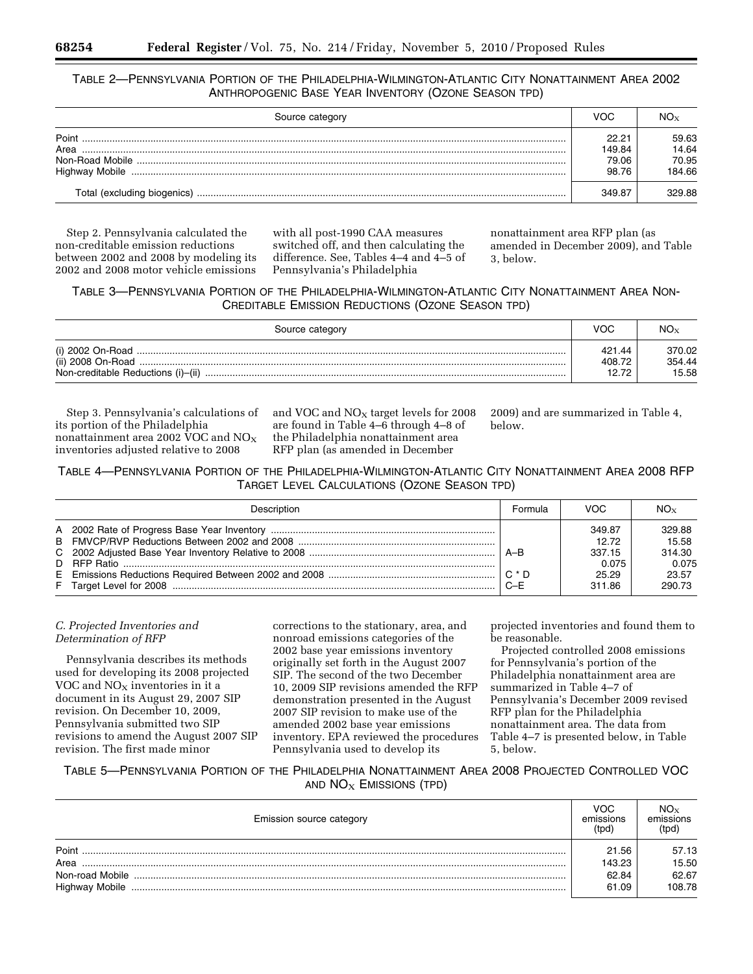## TABLE 2—PENNSYLVANIA PORTION OF THE PHILADELPHIA-WILMINGTON-ATLANTIC CITY NONATTAINMENT AREA 2002 ANTHROPOGENIC BASE YEAR INVENTORY (OZONE SEASON TPD)

| Source category             | VOC    |        |
|-----------------------------|--------|--------|
| Point                       | 22.21  | 59.63  |
| Area                        | 149.84 | 14.64  |
|                             | 79.06  | 70.95  |
| <b>Highway Mobile</b>       | 98.76  | 184.66 |
| Total (excluding biogenics) | 349.87 | 329.88 |

Step 2. Pennsylvania calculated the non-creditable emission reductions between 2002 and 2008 by modeling its 2002 and 2008 motor vehicle emissions

with all post-1990 CAA measures switched off, and then calculating the difference. See, Tables 4–4 and 4–5 of Pennsylvania's Philadelphia

nonattainment area RFP plan (as amended in December 2009), and Table 3, below.

## TABLE 3—PENNSYLVANIA PORTION OF THE PHILADELPHIA-WILMINGTON-ATLANTIC CITY NONATTAINMENT AREA NON-CREDITABLE EMISSION REDUCTIONS (OZONE SEASON TPD)

| Source category | VOC    | $NO_{Y}$ |
|-----------------|--------|----------|
|                 | 421.44 | 370.02   |
|                 | 408.72 | 354.44   |
|                 | 12.72  | 15.58    |

Step 3. Pennsylvania's calculations of its portion of the Philadelphia nonattainment area 2002 VOC and  $NO<sub>X</sub>$ inventories adjusted relative to 2008

and VOC and  $NO<sub>x</sub>$  target levels for 2008 are found in Table 4–6 through 4–8 of the Philadelphia nonattainment area RFP plan (as amended in December

2009) and are summarized in Table 4, below.

TABLE 4—PENNSYLVANIA PORTION OF THE PHILADELPHIA-WILMINGTON-ATLANTIC CITY NONATTAINMENT AREA 2008 RFP TARGET LEVEL CALCULATIONS (OZONE SEASON TPD)

| Description | <b>Formula</b> | VOC                                                   | $NO_{Y}$                                              |
|-------------|----------------|-------------------------------------------------------|-------------------------------------------------------|
|             | ∣A–B<br>$C-F$  | 349.87<br>12.72<br>337.15<br>0.075<br>25.29<br>311.86 | 329.88<br>15.58<br>314.30<br>0.075<br>23.57<br>290.73 |

## *C. Projected Inventories and Determination of RFP*

Pennsylvania describes its methods used for developing its 2008 projected VOC and  $NO<sub>x</sub>$  inventories in it a document in its August 29, 2007 SIP revision. On December 10, 2009, Pennsylvania submitted two SIP revisions to amend the August 2007 SIP revision. The first made minor

corrections to the stationary, area, and nonroad emissions categories of the 2002 base year emissions inventory originally set forth in the August 2007 SIP. The second of the two December 10, 2009 SIP revisions amended the RFP demonstration presented in the August 2007 SIP revision to make use of the amended 2002 base year emissions inventory. EPA reviewed the procedures Pennsylvania used to develop its

projected inventories and found them to be reasonable.

Projected controlled 2008 emissions for Pennsylvania's portion of the Philadelphia nonattainment area are summarized in Table 4–7 of Pennsylvania's December 2009 revised RFP plan for the Philadelphia nonattainment area. The data from Table 4–7 is presented below, in Table 5, below.

## TABLE 5—PENNSYLVANIA PORTION OF THE PHILADELPHIA NONATTAINMENT AREA 2008 PROJECTED CONTROLLED VOC AND  $NO<sub>X</sub>$  Emissions (TPD)

| Emission source category | VOC<br>emissions<br>(tpd) | emissions<br>(tpd) |
|--------------------------|---------------------------|--------------------|
| Point                    | 21.56                     | 57.13              |
| Area                     | 143.23                    | 15.50              |
|                          | 62.84                     | 62.67              |
| <b>Highway Mobile</b>    | 61.09                     | 108.78             |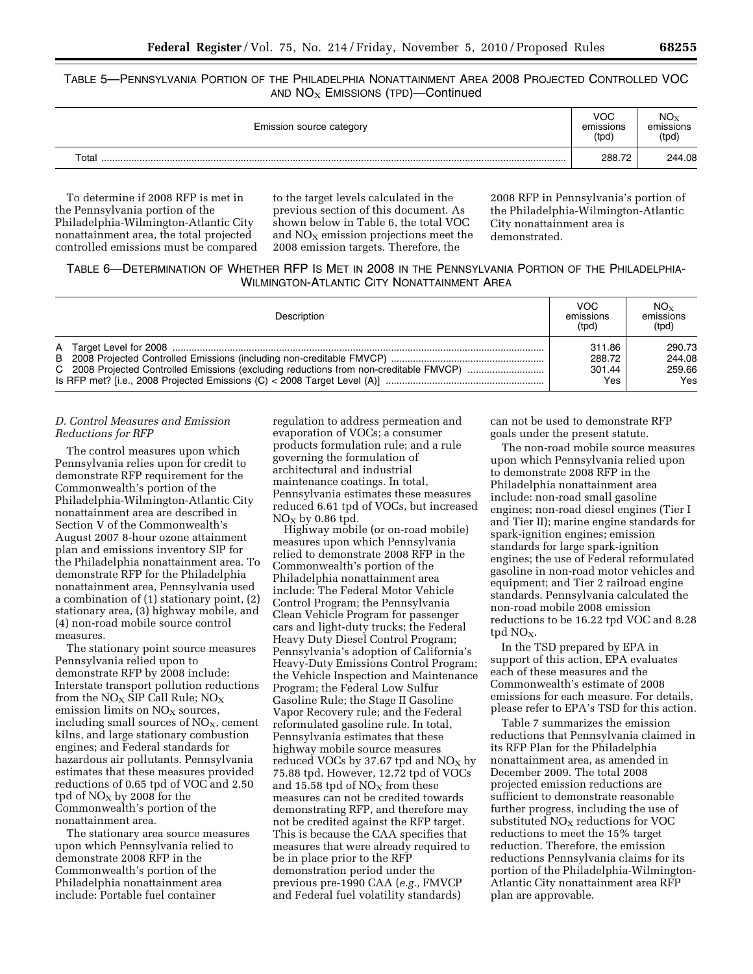## TABLE 5—PENNSYLVANIA PORTION OF THE PHILADELPHIA NONATTAINMENT AREA 2008 PROJECTED CONTROLLED VOC AND  $NO<sub>X</sub>$  EMISSIONS (TPD)-Continued

| Emission source category | VOC<br>emissions<br>(tpd) | $NO_{X}$<br>emissions<br>(tpd) |
|--------------------------|---------------------------|--------------------------------|
| Total                    | 288.72                    | 244.08                         |

To determine if 2008 RFP is met in the Pennsylvania portion of the Philadelphia-Wilmington-Atlantic City nonattainment area, the total projected controlled emissions must be compared to the target levels calculated in the previous section of this document. As shown below in Table 6, the total VOC and  $NO<sub>x</sub>$  emission projections meet the 2008 emission targets. Therefore, the

2008 RFP in Pennsylvania's portion of the Philadelphia-Wilmington-Atlantic City nonattainment area is demonstrated.

## TABLE 6—DETERMINATION OF WHETHER RFP IS MET IN 2008 IN THE PENNSYLVANIA PORTION OF THE PHILADELPHIA-WILMINGTON-ATLANTIC CITY NONATTAINMENT AREA

| Description | VOC.<br>emissions<br>(tpd) | $NO_{X}$<br>emissions<br>(tpd) |
|-------------|----------------------------|--------------------------------|
|             | 311.86                     | 290.73                         |
|             | 288.72                     | 244.08                         |
|             | 301.44                     | 259.66                         |
|             | Yes                        | Yes                            |

## *D. Control Measures and Emission Reductions for RFP*

The control measures upon which Pennsylvania relies upon for credit to demonstrate RFP requirement for the Commonwealth's portion of the Philadelphia-Wilmington-Atlantic City nonattainment area are described in Section V of the Commonwealth's August 2007 8-hour ozone attainment plan and emissions inventory SIP for the Philadelphia nonattainment area. To demonstrate RFP for the Philadelphia nonattainment area, Pennsylvania used a combination of (1) stationary point, (2) stationary area, (3) highway mobile, and (4) non-road mobile source control measures.

The stationary point source measures Pennsylvania relied upon to demonstrate RFP by 2008 include: Interstate transport pollution reductions from the  $NO<sub>X</sub>$  SIP Call Rule;  $NO<sub>X</sub>$ emission limits on  $NO<sub>x</sub>$  sources, including small sources of  $NO<sub>X</sub>$ , cement kilns, and large stationary combustion engines; and Federal standards for hazardous air pollutants. Pennsylvania estimates that these measures provided reductions of 0.65 tpd of VOC and 2.50 tpd of  $NO<sub>X</sub>$  by 2008 for the Commonwealth's portion of the nonattainment area.

The stationary area source measures upon which Pennsylvania relied to demonstrate 2008 RFP in the Commonwealth's portion of the Philadelphia nonattainment area include: Portable fuel container

regulation to address permeation and evaporation of VOCs; a consumer products formulation rule; and a rule governing the formulation of architectural and industrial maintenance coatings. In total, Pennsylvania estimates these measures reduced 6.61 tpd of VOCs, but increased  $NO<sub>X</sub>$  by 0.86 tpd.

Highway mobile (or on-road mobile) measures upon which Pennsylvania relied to demonstrate 2008 RFP in the Commonwealth's portion of the Philadelphia nonattainment area include: The Federal Motor Vehicle Control Program; the Pennsylvania Clean Vehicle Program for passenger cars and light-duty trucks; the Federal Heavy Duty Diesel Control Program; Pennsylvania's adoption of California's Heavy-Duty Emissions Control Program; the Vehicle Inspection and Maintenance Program; the Federal Low Sulfur Gasoline Rule; the Stage II Gasoline Vapor Recovery rule; and the Federal reformulated gasoline rule. In total, Pennsylvania estimates that these highway mobile source measures reduced VOCs by 37.67 tpd and  $NO<sub>x</sub>$  by 75.88 tpd. However, 12.72 tpd of VOCs and 15.58 tpd of  $NO<sub>x</sub>$  from these measures can not be credited towards demonstrating RFP, and therefore may not be credited against the RFP target. This is because the CAA specifies that measures that were already required to be in place prior to the RFP demonstration period under the previous pre-1990 CAA (*e.g.,* FMVCP and Federal fuel volatility standards)

can not be used to demonstrate RFP goals under the present statute.

The non-road mobile source measures upon which Pennsylvania relied upon to demonstrate 2008 RFP in the Philadelphia nonattainment area include: non-road small gasoline engines; non-road diesel engines (Tier I and Tier II); marine engine standards for spark-ignition engines; emission standards for large spark-ignition engines; the use of Federal reformulated gasoline in non-road motor vehicles and equipment; and Tier 2 railroad engine standards. Pennsylvania calculated the non-road mobile 2008 emission reductions to be 16.22 tpd VOC and 8.28 tpd  $NO<sub>X</sub>$ .

In the TSD prepared by EPA in support of this action, EPA evaluates each of these measures and the Commonwealth's estimate of 2008 emissions for each measure. For details, please refer to EPA's TSD for this action.

Table 7 summarizes the emission reductions that Pennsylvania claimed in its RFP Plan for the Philadelphia nonattainment area, as amended in December 2009. The total 2008 projected emission reductions are sufficient to demonstrate reasonable further progress, including the use of substituted  $NO<sub>X</sub>$  reductions for VOC reductions to meet the 15% target reduction. Therefore, the emission reductions Pennsylvania claims for its portion of the Philadelphia-Wilmington-Atlantic City nonattainment area RFP plan are approvable.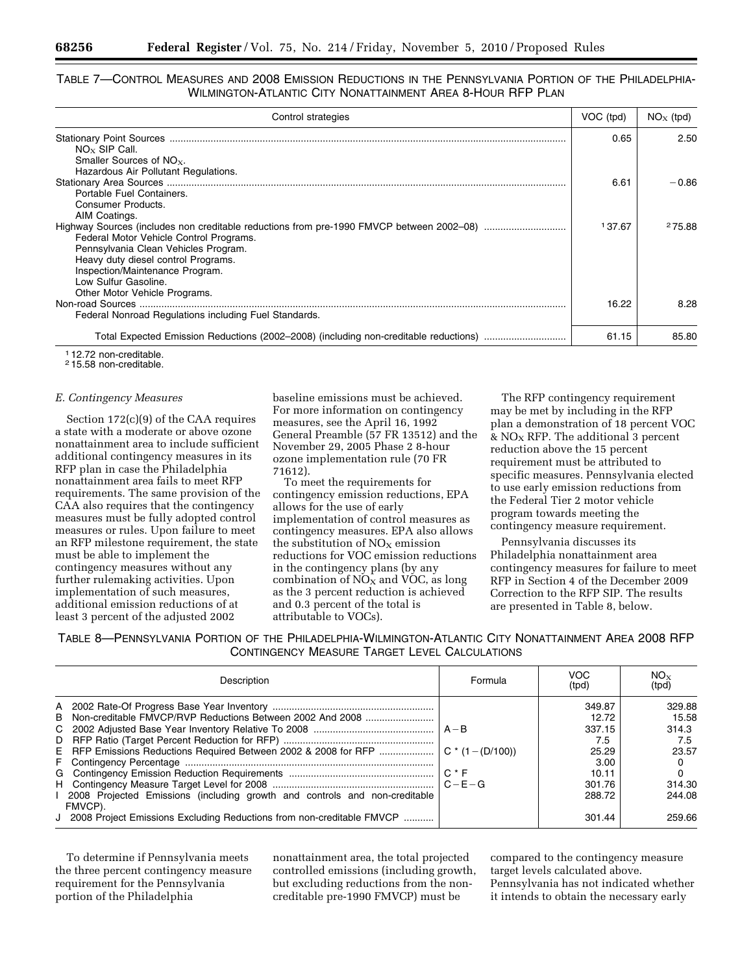## TABLE 7—CONTROL MEASURES AND 2008 EMISSION REDUCTIONS IN THE PENNSYLVANIA PORTION OF THE PHILADELPHIA-WILMINGTON-ATLANTIC CITY NONATTAINMENT AREA 8-HOUR RFP PLAN

| Control strategies                                                                       | VOC (tpd) | $NOx$ (tpd) |
|------------------------------------------------------------------------------------------|-----------|-------------|
|                                                                                          | 0.65      | 2.50        |
| $NO_{x}$ SIP Call.                                                                       |           |             |
| Smaller Sources of $NOx$ .                                                               |           |             |
| Hazardous Air Pollutant Regulations.                                                     |           |             |
|                                                                                          | 6.61      | -0.86       |
| Portable Fuel Containers.                                                                |           |             |
| Consumer Products.                                                                       |           |             |
| AIM Coatings.                                                                            | 137.67    |             |
| Highway Sources (includes non creditable reductions from pre-1990 FMVCP between 2002-08) |           | 275.88      |
| Federal Motor Vehicle Control Programs.                                                  |           |             |
| Pennsylvania Clean Vehicles Program.                                                     |           |             |
| Heavy duty diesel control Programs.                                                      |           |             |
| Inspection/Maintenance Program.                                                          |           |             |
| Low Sulfur Gasoline.                                                                     |           |             |
| Other Motor Vehicle Programs.                                                            |           |             |
|                                                                                          | 16.22     | 8.28        |
| Federal Nonroad Regulations including Fuel Standards.                                    |           |             |
| Total Expected Emission Reductions (2002–2008) (including non-creditable reductions)     | 61.15     | 85.80       |

1 12.72 non-creditable.

2 15.58 non-creditable.

### *E. Contingency Measures*

Section 172(c)(9) of the CAA requires a state with a moderate or above ozone nonattainment area to include sufficient additional contingency measures in its RFP plan in case the Philadelphia nonattainment area fails to meet RFP requirements. The same provision of the CAA also requires that the contingency measures must be fully adopted control measures or rules. Upon failure to meet an RFP milestone requirement, the state must be able to implement the contingency measures without any further rulemaking activities. Upon implementation of such measures, additional emission reductions of at least 3 percent of the adjusted 2002

baseline emissions must be achieved. For more information on contingency measures, see the April 16, 1992 General Preamble (57 FR 13512) and the November 29, 2005 Phase 2 8-hour ozone implementation rule (70 FR 71612).

To meet the requirements for contingency emission reductions, EPA allows for the use of early implementation of control measures as contingency measures. EPA also allows the substitution of  $NO<sub>x</sub>$  emission reductions for VOC emission reductions in the contingency plans (by any combination of  $NO<sub>X</sub>$  and VOC, as long as the 3 percent reduction is achieved and 0.3 percent of the total is attributable to VOCs).

The RFP contingency requirement may be met by including in the RFP plan a demonstration of 18 percent VOC  $&$  NO<sub>X</sub> RFP. The additional 3 percent reduction above the 15 percent requirement must be attributed to specific measures. Pennsylvania elected to use early emission reductions from the Federal Tier 2 motor vehicle program towards meeting the contingency measure requirement.

Pennsylvania discusses its Philadelphia nonattainment area contingency measures for failure to meet RFP in Section 4 of the December 2009 Correction to the RFP SIP. The results are presented in Table 8, below.

TABLE 8—PENNSYLVANIA PORTION OF THE PHILADELPHIA-WILMINGTON-ATLANTIC CITY NONATTAINMENT AREA 2008 RFP CONTINGENCY MEASURE TARGET LEVEL CALCULATIONS

| Description                                                                             | Formula | <b>VOC</b><br>(tpd) | $NO_{X}$<br>(tpd) |
|-----------------------------------------------------------------------------------------|---------|---------------------|-------------------|
|                                                                                         |         | 349.87              | 329.88            |
| B Non-creditable FMVCP/RVP Reductions Between 2002 And 2008                             |         | 12.72               | 15.58             |
|                                                                                         |         | 337.15              | 314.3             |
|                                                                                         |         | 7.5                 | 7.5               |
|                                                                                         |         | 25.29               | 23.57             |
|                                                                                         |         | 3.00                |                   |
|                                                                                         | $C * F$ | 10.11               |                   |
|                                                                                         |         | 301.76              | 314.30            |
| 1 2008 Projected Emissions (including growth and controls and non-creditable<br>FMVCP). |         | 288.72              | 244.08            |
| J 2008 Project Emissions Excluding Reductions from non-creditable FMVCP                 |         | 301.44              | 259.66            |

To determine if Pennsylvania meets the three percent contingency measure requirement for the Pennsylvania portion of the Philadelphia

nonattainment area, the total projected controlled emissions (including growth, but excluding reductions from the noncreditable pre-1990 FMVCP) must be

compared to the contingency measure target levels calculated above. Pennsylvania has not indicated whether it intends to obtain the necessary early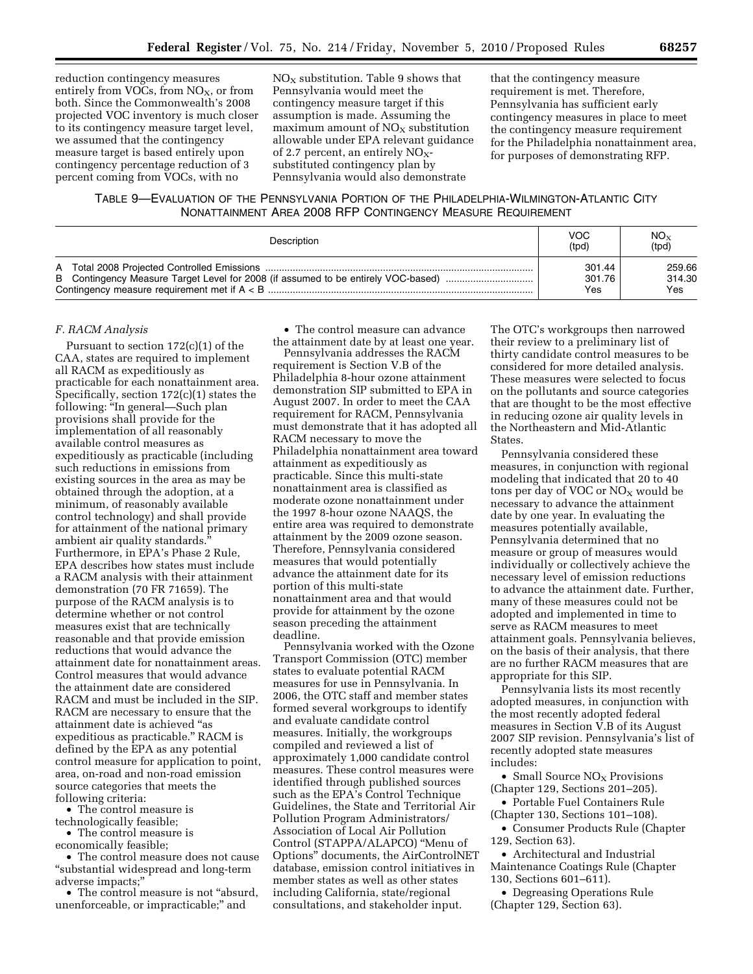reduction contingency measures entirely from VOCs, from  $NO<sub>x</sub>$ , or from both. Since the Commonwealth's 2008 projected VOC inventory is much closer to its contingency measure target level, we assumed that the contingency measure target is based entirely upon contingency percentage reduction of 3 percent coming from VOCs, with no

 $NO<sub>x</sub>$  substitution. Table 9 shows that Pennsylvania would meet the contingency measure target if this assumption is made. Assuming the maximum amount of  $NO<sub>x</sub>$  substitution allowable under EPA relevant guidance of 2.7 percent, an entirely  $NO<sub>x</sub>$ substituted contingency plan by Pennsylvania would also demonstrate

that the contingency measure requirement is met. Therefore, Pennsylvania has sufficient early contingency measures in place to meet the contingency measure requirement for the Philadelphia nonattainment area, for purposes of demonstrating RFP.

# TABLE 9—EVALUATION OF THE PENNSYLVANIA PORTION OF THE PHILADELPHIA-WILMINGTON-ATLANTIC CITY NONATTAINMENT AREA 2008 RFP CONTINGENCY MEASURE REQUIREMENT

| Description | VOC.<br>(tpd) | $NO_{X}$<br>(tpd) |
|-------------|---------------|-------------------|
|             | 301.44        | 259.66            |
|             | 301.76        | 314.30            |
|             | Yes           | Yes               |

## *F. RACM Analysis*

Pursuant to section  $172(c)(1)$  of the CAA, states are required to implement all RACM as expeditiously as practicable for each nonattainment area. Specifically, section 172(c)(1) states the following: ''In general—Such plan provisions shall provide for the implementation of all reasonably available control measures as expeditiously as practicable (including such reductions in emissions from existing sources in the area as may be obtained through the adoption, at a minimum, of reasonably available control technology) and shall provide for attainment of the national primary ambient air quality standards.'' Furthermore, in EPA's Phase 2 Rule, EPA describes how states must include a RACM analysis with their attainment demonstration (70 FR 71659). The purpose of the RACM analysis is to determine whether or not control measures exist that are technically reasonable and that provide emission reductions that would advance the attainment date for nonattainment areas. Control measures that would advance the attainment date are considered RACM and must be included in the SIP. RACM are necessary to ensure that the attainment date is achieved ''as expeditious as practicable.'' RACM is defined by the EPA as any potential control measure for application to point, area, on-road and non-road emission source categories that meets the following criteria:

• The control measure is technologically feasible;

• The control measure is

economically feasible;

• The control measure does not cause ''substantial widespread and long-term adverse impacts;''

• The control measure is not "absurd, unenforceable, or impracticable;'' and

• The control measure can advance the attainment date by at least one year.

Pennsylvania addresses the RACM requirement is Section V.B of the Philadelphia 8-hour ozone attainment demonstration SIP submitted to EPA in August 2007. In order to meet the CAA requirement for RACM, Pennsylvania must demonstrate that it has adopted all RACM necessary to move the Philadelphia nonattainment area toward attainment as expeditiously as practicable. Since this multi-state nonattainment area is classified as moderate ozone nonattainment under the 1997 8-hour ozone NAAQS, the entire area was required to demonstrate attainment by the 2009 ozone season. Therefore, Pennsylvania considered measures that would potentially advance the attainment date for its portion of this multi-state nonattainment area and that would provide for attainment by the ozone season preceding the attainment deadline.

Pennsylvania worked with the Ozone Transport Commission (OTC) member states to evaluate potential RACM measures for use in Pennsylvania. In 2006, the OTC staff and member states formed several workgroups to identify and evaluate candidate control measures. Initially, the workgroups compiled and reviewed a list of approximately 1,000 candidate control measures. These control measures were identified through published sources such as the EPA's Control Technique Guidelines, the State and Territorial Air Pollution Program Administrators/ Association of Local Air Pollution Control (STAPPA/ALAPCO) ''Menu of Options'' documents, the AirControlNET database, emission control initiatives in member states as well as other states including California, state/regional consultations, and stakeholder input.

The OTC's workgroups then narrowed their review to a preliminary list of thirty candidate control measures to be considered for more detailed analysis. These measures were selected to focus on the pollutants and source categories that are thought to be the most effective in reducing ozone air quality levels in the Northeastern and Mid-Atlantic States.

Pennsylvania considered these measures, in conjunction with regional modeling that indicated that 20 to 40 tons per day of VOC or  $NO<sub>X</sub>$  would be necessary to advance the attainment date by one year. In evaluating the measures potentially available, Pennsylvania determined that no measure or group of measures would individually or collectively achieve the necessary level of emission reductions to advance the attainment date. Further, many of these measures could not be adopted and implemented in time to serve as RACM measures to meet attainment goals. Pennsylvania believes, on the basis of their analysis, that there are no further RACM measures that are appropriate for this SIP.

Pennsylvania lists its most recently adopted measures, in conjunction with the most recently adopted federal measures in Section V.B of its August 2007 SIP revision. Pennsylvania's list of recently adopted state measures includes:

• Small Source  $NO<sub>x</sub>$  Provisions (Chapter 129, Sections 201–205).

• Portable Fuel Containers Rule (Chapter 130, Sections 101–108).

• Consumer Products Rule (Chapter 129, Section 63).

• Architectural and Industrial Maintenance Coatings Rule (Chapter 130, Sections 601–611).

• Degreasing Operations Rule (Chapter 129, Section 63).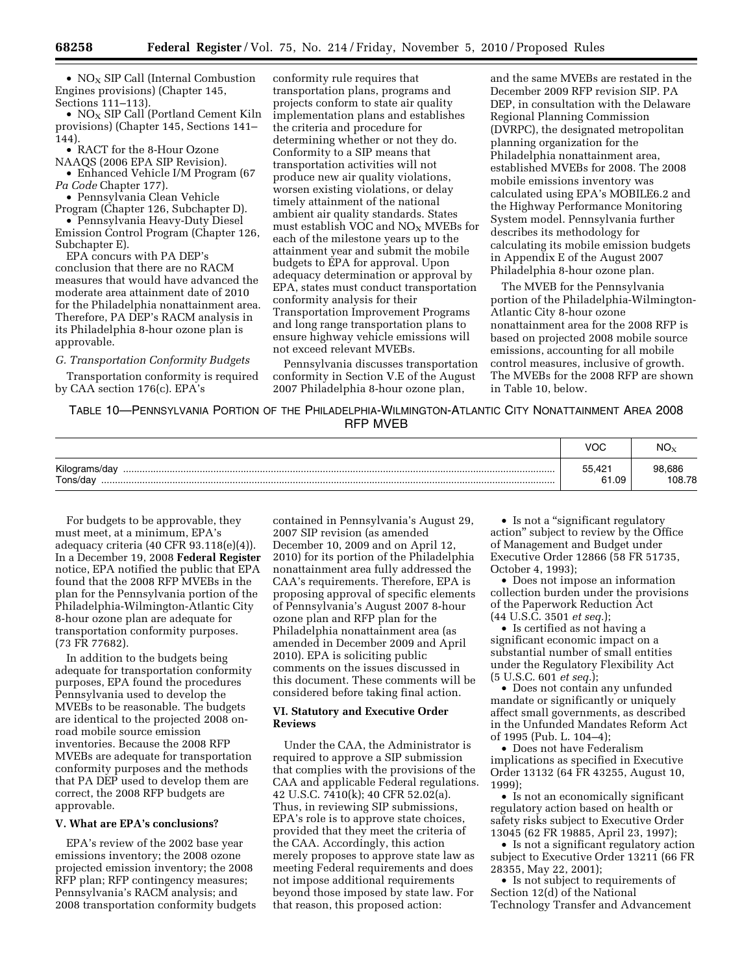•  $NO<sub>x</sub>$  SIP Call (Internal Combustion Engines provisions) (Chapter 145, Sections 111–113).

•  $NO<sub>x</sub>$  SIP Call (Portland Cement Kiln provisions) (Chapter 145, Sections 141– 144).

• RACT for the 8-Hour Ozone NAAQS (2006 EPA SIP Revision).

• Enhanced Vehicle I/M Program (67 *Pa Code* Chapter 177).

• Pennsylvania Clean Vehicle Program (Chapter 126, Subchapter D).

• Pennsylvania Heavy-Duty Diesel Emission Control Program (Chapter 126, Subchapter E).

EPA concurs with PA DEP's conclusion that there are no RACM measures that would have advanced the moderate area attainment date of 2010 for the Philadelphia nonattainment area. Therefore, PA DEP's RACM analysis in its Philadelphia 8-hour ozone plan is approvable.

#### *G. Transportation Conformity Budgets*

Transportation conformity is required by CAA section 176(c). EPA's

conformity rule requires that transportation plans, programs and projects conform to state air quality implementation plans and establishes the criteria and procedure for determining whether or not they do. Conformity to a SIP means that transportation activities will not produce new air quality violations, worsen existing violations, or delay timely attainment of the national ambient air quality standards. States must establish VOC and  $NO<sub>X</sub>$  MVEBs for each of the milestone years up to the attainment year and submit the mobile budgets to EPA for approval. Upon adequacy determination or approval by EPA, states must conduct transportation conformity analysis for their Transportation Improvement Programs and long range transportation plans to ensure highway vehicle emissions will not exceed relevant MVEBs.

Pennsylvania discusses transportation conformity in Section V.E of the August 2007 Philadelphia 8-hour ozone plan,

and the same MVEBs are restated in the December 2009 RFP revision SIP. PA DEP, in consultation with the Delaware Regional Planning Commission (DVRPC), the designated metropolitan planning organization for the Philadelphia nonattainment area, established MVEBs for 2008. The 2008 mobile emissions inventory was calculated using EPA's MOBILE6.2 and the Highway Performance Monitoring System model. Pennsylvania further describes its methodology for calculating its mobile emission budgets in Appendix E of the August 2007 Philadelphia 8-hour ozone plan.

The MVEB for the Pennsylvania portion of the Philadelphia-Wilmington-Atlantic City 8-hour ozone nonattainment area for the 2008 RFP is based on projected 2008 mobile source emissions, accounting for all mobile control measures, inclusive of growth. The MVEBs for the 2008 RFP are shown in Table 10, below.

TABLE 10—PENNSYLVANIA PORTION OF THE PHILADELPHIA-WILMINGTON-ATLANTIC CITY NONATTAINMENT AREA 2008 RFP MVEB

|                               | <b>VOC</b>      | $NO_{\rm x}$     |
|-------------------------------|-----------------|------------------|
| Kilograms/day<br><br>Tons/day | 55.421<br>61.09 | 98,686<br>108.78 |

For budgets to be approvable, they must meet, at a minimum, EPA's adequacy criteria (40 CFR 93.118(e)(4)). In a December 19, 2008 **Federal Register**  notice, EPA notified the public that EPA found that the 2008 RFP MVEBs in the plan for the Pennsylvania portion of the Philadelphia-Wilmington-Atlantic City 8-hour ozone plan are adequate for transportation conformity purposes. (73 FR 77682).

In addition to the budgets being adequate for transportation conformity purposes, EPA found the procedures Pennsylvania used to develop the MVEBs to be reasonable. The budgets are identical to the projected 2008 onroad mobile source emission inventories. Because the 2008 RFP MVEBs are adequate for transportation conformity purposes and the methods that PA DEP used to develop them are correct, the 2008 RFP budgets are approvable.

## **V. What are EPA's conclusions?**

EPA's review of the 2002 base year emissions inventory; the 2008 ozone projected emission inventory; the 2008 RFP plan; RFP contingency measures; Pennsylvania's RACM analysis; and 2008 transportation conformity budgets

contained in Pennsylvania's August 29, 2007 SIP revision (as amended December 10, 2009 and on April 12, 2010) for its portion of the Philadelphia nonattainment area fully addressed the CAA's requirements. Therefore, EPA is proposing approval of specific elements of Pennsylvania's August 2007 8-hour ozone plan and RFP plan for the Philadelphia nonattainment area (as amended in December 2009 and April 2010). EPA is soliciting public comments on the issues discussed in this document. These comments will be considered before taking final action.

### **VI. Statutory and Executive Order Reviews**

Under the CAA, the Administrator is required to approve a SIP submission that complies with the provisions of the CAA and applicable Federal regulations. 42 U.S.C. 7410(k); 40 CFR 52.02(a). Thus, in reviewing SIP submissions, EPA's role is to approve state choices, provided that they meet the criteria of the CAA. Accordingly, this action merely proposes to approve state law as meeting Federal requirements and does not impose additional requirements beyond those imposed by state law. For that reason, this proposed action:

• Is not a "significant regulatory action'' subject to review by the Office of Management and Budget under Executive Order 12866 (58 FR 51735, October 4, 1993);

• Does not impose an information collection burden under the provisions of the Paperwork Reduction Act (44 U.S.C. 3501 *et seq.*);

• Is certified as not having a significant economic impact on a substantial number of small entities under the Regulatory Flexibility Act (5 U.S.C. 601 *et seq.*);

• Does not contain any unfunded mandate or significantly or uniquely affect small governments, as described in the Unfunded Mandates Reform Act of 1995 (Pub. L. 104–4);

• Does not have Federalism implications as specified in Executive Order 13132 (64 FR 43255, August 10, 1999);

• Is not an economically significant regulatory action based on health or safety risks subject to Executive Order 13045 (62 FR 19885, April 23, 1997);

• Is not a significant regulatory action subject to Executive Order 13211 (66 FR 28355, May 22, 2001);

• Is not subject to requirements of Section 12(d) of the National Technology Transfer and Advancement